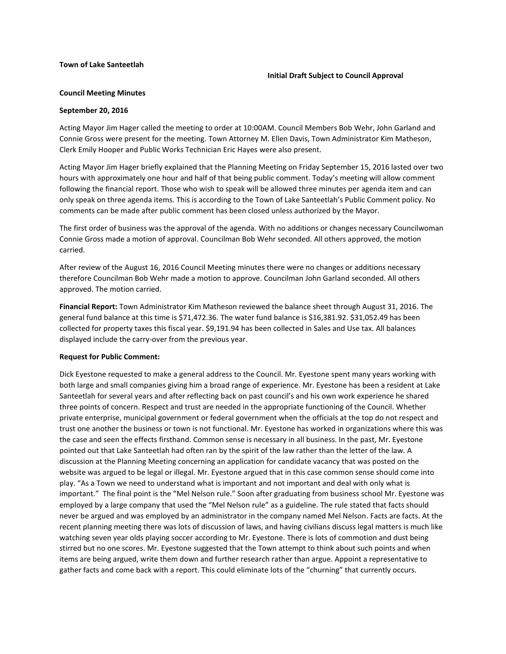## **Town of Lake Santeetlah**

#### **Initial Draft Subject to Council Approval**

# **Council Meeting Minutes**

#### **September 20, 2016**

Acting Mayor Jim Hager called the meeting to order at 10:00AM. Council Members Bob Wehr, John Garland and Connie Gross were present for the meeting. Town Attorney M. Ellen Davis, Town Administrator Kim Matheson, Clerk Emily Hooper and Public Works Technician Eric Hayes were also present.

Acting Mayor Jim Hager briefly explained that the Planning Meeting on Friday September 15, 2016 lasted over two hours with approximately one hour and half of that being public comment. Today's meeting will allow comment following the financial report. Those who wish to speak will be allowed three minutes per agenda item and can only speak on three agenda items. This is according to the Town of Lake Santeetlah's Public Comment policy. No comments can be made after public comment has been closed unless authorized by the Mayor.

The first order of business was the approval of the agenda. With no additions or changes necessary Councilwoman Connie Gross made a motion of approval. Councilman Bob Wehr seconded. All others approved, the motion carried.

After review of the August 16, 2016 Council Meeting minutes there were no changes or additions necessary therefore Councilman Bob Wehr made a motion to approve. Councilman John Garland seconded. All others approved. The motion carried.

**Financial Report:** Town Administrator Kim Matheson reviewed the balance sheet through August 31, 2016. The general fund balance at this time is \$71,472.36. The water fund balance is \$16,381.92. \$31,052.49 has been collected for property taxes this fiscal year. \$9,191.94 has been collected in Sales and Use tax. All balances displayed include the carry-over from the previous year.

## **Request for Public Comment:**

Dick Eyestone requested to make a general address to the Council. Mr. Eyestone spent many years working with both large and small companies giving him a broad range of experience. Mr. Eyestone has been a resident at Lake Santeetlah for several years and after reflecting back on past council's and his own work experience he shared three points of concern. Respect and trust are needed in the appropriate functioning of the Council. Whether private enterprise, municipal government or federal government when the officials at the top do not respect and trust one another the business or town is not functional. Mr. Eyestone has worked in organizations where this was the case and seen the effects firsthand. Common sense is necessary in all business. In the past, Mr. Eyestone pointed out that Lake Santeetlah had often ran by the spirit of the law rather than the letter of the law. A discussion at the Planning Meeting concerning an application for candidate vacancy that was posted on the website was argued to be legal or illegal. Mr. Eyestone argued that in this case common sense should come into play. "As a Town we need to understand what is important and not important and deal with only what is important." The final point is the "Mel Nelson rule." Soon after graduating from business school Mr. Eyestone was employed by a large company that used the "Mel Nelson rule" as a guideline. The rule stated that facts should never be argued and was employed by an administrator in the company named Mel Nelson. Facts are facts. At the recent planning meeting there was lots of discussion of laws, and having civilians discuss legal matters is much like watching seven year olds playing soccer according to Mr. Eyestone. There is lots of commotion and dust being stirred but no one scores. Mr. Eyestone suggested that the Town attempt to think about such points and when items are being argued, write them down and further research rather than argue. Appoint a representative to gather facts and come back with a report. This could eliminate lots of the "churning" that currently occurs.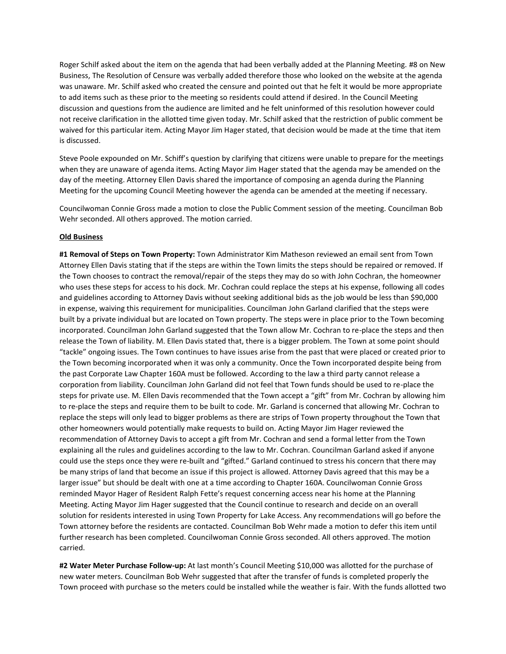Roger Schilf asked about the item on the agenda that had been verbally added at the Planning Meeting. #8 on New Business, The Resolution of Censure was verbally added therefore those who looked on the website at the agenda was unaware. Mr. Schilf asked who created the censure and pointed out that he felt it would be more appropriate to add items such as these prior to the meeting so residents could attend if desired. In the Council Meeting discussion and questions from the audience are limited and he felt uninformed of this resolution however could not receive clarification in the allotted time given today. Mr. Schilf asked that the restriction of public comment be waived for this particular item. Acting Mayor Jim Hager stated, that decision would be made at the time that item is discussed.

Steve Poole expounded on Mr. Schiff's question by clarifying that citizens were unable to prepare for the meetings when they are unaware of agenda items. Acting Mayor Jim Hager stated that the agenda may be amended on the day of the meeting. Attorney Ellen Davis shared the importance of composing an agenda during the Planning Meeting for the upcoming Council Meeting however the agenda can be amended at the meeting if necessary.

Councilwoman Connie Gross made a motion to close the Public Comment session of the meeting. Councilman Bob Wehr seconded. All others approved. The motion carried.

## **Old Business**

**#1 Removal of Steps on Town Property:** Town Administrator Kim Matheson reviewed an email sent from Town Attorney Ellen Davis stating that if the steps are within the Town limits the steps should be repaired or removed. If the Town chooses to contract the removal/repair of the steps they may do so with John Cochran, the homeowner who uses these steps for access to his dock. Mr. Cochran could replace the steps at his expense, following all codes and guidelines according to Attorney Davis without seeking additional bids as the job would be less than \$90,000 in expense, waiving this requirement for municipalities. Councilman John Garland clarified that the steps were built by a private individual but are located on Town property. The steps were in place prior to the Town becoming incorporated. Councilman John Garland suggested that the Town allow Mr. Cochran to re-place the steps and then release the Town of liability. M. Ellen Davis stated that, there is a bigger problem. The Town at some point should "tackle" ongoing issues. The Town continues to have issues arise from the past that were placed or created prior to the Town becoming incorporated when it was only a community. Once the Town incorporated despite being from the past Corporate Law Chapter 160A must be followed. According to the law a third party cannot release a corporation from liability. Councilman John Garland did not feel that Town funds should be used to re-place the steps for private use. M. Ellen Davis recommended that the Town accept a "gift" from Mr. Cochran by allowing him to re-place the steps and require them to be built to code. Mr. Garland is concerned that allowing Mr. Cochran to replace the steps will only lead to bigger problems as there are strips of Town property throughout the Town that other homeowners would potentially make requests to build on. Acting Mayor Jim Hager reviewed the recommendation of Attorney Davis to accept a gift from Mr. Cochran and send a formal letter from the Town explaining all the rules and guidelines according to the law to Mr. Cochran. Councilman Garland asked if anyone could use the steps once they were re-built and "gifted." Garland continued to stress his concern that there may be many strips of land that become an issue if this project is allowed. Attorney Davis agreed that this may be a larger issue" but should be dealt with one at a time according to Chapter 160A. Councilwoman Connie Gross reminded Mayor Hager of Resident Ralph Fette's request concerning access near his home at the Planning Meeting. Acting Mayor Jim Hager suggested that the Council continue to research and decide on an overall solution for residents interested in using Town Property for Lake Access. Any recommendations will go before the Town attorney before the residents are contacted. Councilman Bob Wehr made a motion to defer this item until further research has been completed. Councilwoman Connie Gross seconded. All others approved. The motion carried.

**#2 Water Meter Purchase Follow-up:** At last month's Council Meeting \$10,000 was allotted for the purchase of new water meters. Councilman Bob Wehr suggested that after the transfer of funds is completed properly the Town proceed with purchase so the meters could be installed while the weather is fair. With the funds allotted two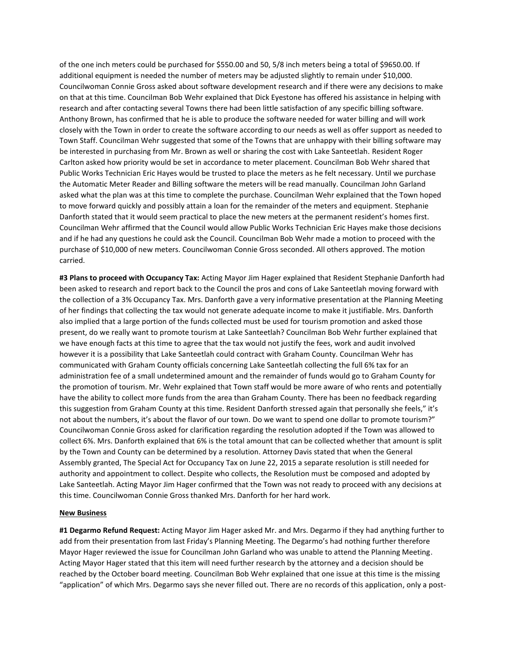of the one inch meters could be purchased for \$550.00 and 50, 5/8 inch meters being a total of \$9650.00. If additional equipment is needed the number of meters may be adjusted slightly to remain under \$10,000. Councilwoman Connie Gross asked about software development research and if there were any decisions to make on that at this time. Councilman Bob Wehr explained that Dick Eyestone has offered his assistance in helping with research and after contacting several Towns there had been little satisfaction of any specific billing software. Anthony Brown, has confirmed that he is able to produce the software needed for water billing and will work closely with the Town in order to create the software according to our needs as well as offer support as needed to Town Staff. Councilman Wehr suggested that some of the Towns that are unhappy with their billing software may be interested in purchasing from Mr. Brown as well or sharing the cost with Lake Santeetlah. Resident Roger Carlton asked how priority would be set in accordance to meter placement. Councilman Bob Wehr shared that Public Works Technician Eric Hayes would be trusted to place the meters as he felt necessary. Until we purchase the Automatic Meter Reader and Billing software the meters will be read manually. Councilman John Garland asked what the plan was at this time to complete the purchase. Councilman Wehr explained that the Town hoped to move forward quickly and possibly attain a loan for the remainder of the meters and equipment. Stephanie Danforth stated that it would seem practical to place the new meters at the permanent resident's homes first. Councilman Wehr affirmed that the Council would allow Public Works Technician Eric Hayes make those decisions and if he had any questions he could ask the Council. Councilman Bob Wehr made a motion to proceed with the purchase of \$10,000 of new meters. Councilwoman Connie Gross seconded. All others approved. The motion carried.

**#3 Plans to proceed with Occupancy Tax:** Acting Mayor Jim Hager explained that Resident Stephanie Danforth had been asked to research and report back to the Council the pros and cons of Lake Santeetlah moving forward with the collection of a 3% Occupancy Tax. Mrs. Danforth gave a very informative presentation at the Planning Meeting of her findings that collecting the tax would not generate adequate income to make it justifiable. Mrs. Danforth also implied that a large portion of the funds collected must be used for tourism promotion and asked those present, do we really want to promote tourism at Lake Santeetlah? Councilman Bob Wehr further explained that we have enough facts at this time to agree that the tax would not justify the fees, work and audit involved however it is a possibility that Lake Santeetlah could contract with Graham County. Councilman Wehr has communicated with Graham County officials concerning Lake Santeetlah collecting the full 6% tax for an administration fee of a small undetermined amount and the remainder of funds would go to Graham County for the promotion of tourism. Mr. Wehr explained that Town staff would be more aware of who rents and potentially have the ability to collect more funds from the area than Graham County. There has been no feedback regarding this suggestion from Graham County at this time. Resident Danforth stressed again that personally she feels," it's not about the numbers, it's about the flavor of our town. Do we want to spend one dollar to promote tourism?" Councilwoman Connie Gross asked for clarification regarding the resolution adopted if the Town was allowed to collect 6%. Mrs. Danforth explained that 6% is the total amount that can be collected whether that amount is split by the Town and County can be determined by a resolution. Attorney Davis stated that when the General Assembly granted, The Special Act for Occupancy Tax on June 22, 2015 a separate resolution is still needed for authority and appointment to collect. Despite who collects, the Resolution must be composed and adopted by Lake Santeetlah. Acting Mayor Jim Hager confirmed that the Town was not ready to proceed with any decisions at this time. Councilwoman Connie Gross thanked Mrs. Danforth for her hard work.

## **New Business**

**#1 Degarmo Refund Request:** Acting Mayor Jim Hager asked Mr. and Mrs. Degarmo if they had anything further to add from their presentation from last Friday's Planning Meeting. The Degarmo's had nothing further therefore Mayor Hager reviewed the issue for Councilman John Garland who was unable to attend the Planning Meeting. Acting Mayor Hager stated that this item will need further research by the attorney and a decision should be reached by the October board meeting. Councilman Bob Wehr explained that one issue at this time is the missing "application" of which Mrs. Degarmo says she never filled out. There are no records of this application, only a post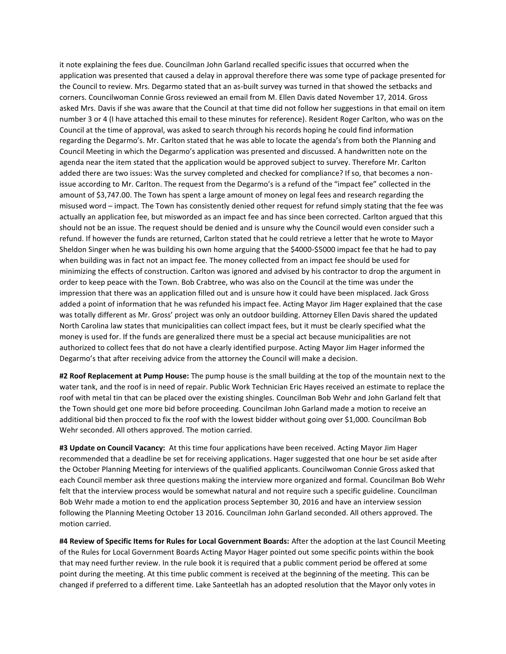it note explaining the fees due. Councilman John Garland recalled specific issues that occurred when the application was presented that caused a delay in approval therefore there was some type of package presented for the Council to review. Mrs. Degarmo stated that an as-built survey was turned in that showed the setbacks and corners. Councilwoman Connie Gross reviewed an email from M. Ellen Davis dated November 17, 2014. Gross asked Mrs. Davis if she was aware that the Council at that time did not follow her suggestions in that email on item number 3 or 4 (I have attached this email to these minutes for reference). Resident Roger Carlton, who was on the Council at the time of approval, was asked to search through his records hoping he could find information regarding the Degarmo's. Mr. Carlton stated that he was able to locate the agenda's from both the Planning and Council Meeting in which the Degarmo's application was presented and discussed. A handwritten note on the agenda near the item stated that the application would be approved subject to survey. Therefore Mr. Carlton added there are two issues: Was the survey completed and checked for compliance? If so, that becomes a nonissue according to Mr. Carlton. The request from the Degarmo's is a refund of the "impact fee" collected in the amount of \$3,747.00. The Town has spent a large amount of money on legal fees and research regarding the misused word – impact. The Town has consistently denied other request for refund simply stating that the fee was actually an application fee, but misworded as an impact fee and has since been corrected. Carlton argued that this should not be an issue. The request should be denied and is unsure why the Council would even consider such a refund. If however the funds are returned, Carlton stated that he could retrieve a letter that he wrote to Mayor Sheldon Singer when he was building his own home arguing that the \$4000-\$5000 impact fee that he had to pay when building was in fact not an impact fee. The money collected from an impact fee should be used for minimizing the effects of construction. Carlton was ignored and advised by his contractor to drop the argument in order to keep peace with the Town. Bob Crabtree, who was also on the Council at the time was under the impression that there was an application filled out and is unsure how it could have been misplaced. Jack Gross added a point of information that he was refunded his impact fee. Acting Mayor Jim Hager explained that the case was totally different as Mr. Gross' project was only an outdoor building. Attorney Ellen Davis shared the updated North Carolina law states that municipalities can collect impact fees, but it must be clearly specified what the money is used for. If the funds are generalized there must be a special act because municipalities are not authorized to collect fees that do not have a clearly identified purpose. Acting Mayor Jim Hager informed the Degarmo's that after receiving advice from the attorney the Council will make a decision.

**#2 Roof Replacement at Pump House:** The pump house is the small building at the top of the mountain next to the water tank, and the roof is in need of repair. Public Work Technician Eric Hayes received an estimate to replace the roof with metal tin that can be placed over the existing shingles. Councilman Bob Wehr and John Garland felt that the Town should get one more bid before proceeding. Councilman John Garland made a motion to receive an additional bid then procced to fix the roof with the lowest bidder without going over \$1,000. Councilman Bob Wehr seconded. All others approved. The motion carried.

**#3 Update on Council Vacancy:** At this time four applications have been received. Acting Mayor Jim Hager recommended that a deadline be set for receiving applications. Hager suggested that one hour be set aside after the October Planning Meeting for interviews of the qualified applicants. Councilwoman Connie Gross asked that each Council member ask three questions making the interview more organized and formal. Councilman Bob Wehr felt that the interview process would be somewhat natural and not require such a specific guideline. Councilman Bob Wehr made a motion to end the application process September 30, 2016 and have an interview session following the Planning Meeting October 13 2016. Councilman John Garland seconded. All others approved. The motion carried.

**#4 Review of Specific Items for Rules for Local Government Boards:** After the adoption at the last Council Meeting of the Rules for Local Government Boards Acting Mayor Hager pointed out some specific points within the book that may need further review. In the rule book it is required that a public comment period be offered at some point during the meeting. At this time public comment is received at the beginning of the meeting. This can be changed if preferred to a different time. Lake Santeetlah has an adopted resolution that the Mayor only votes in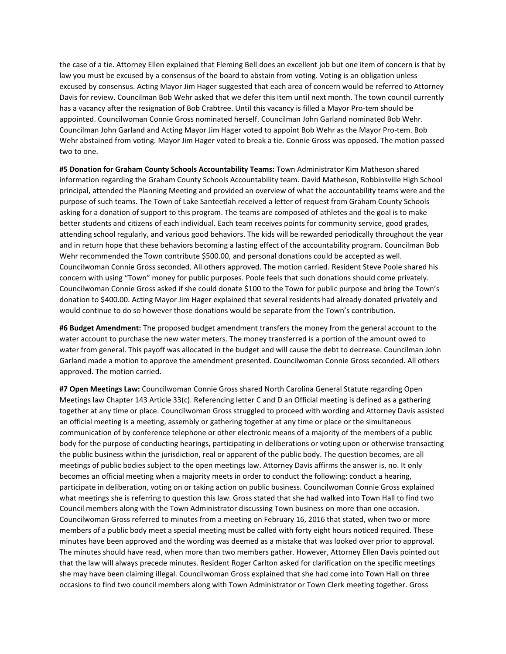the case of a tie. Attorney Ellen explained that Fleming Bell does an excellent job but one item of concern is that by law you must be excused by a consensus of the board to abstain from voting. Voting is an obligation unless excused by consensus. Acting Mayor Jim Hager suggested that each area of concern would be referred to Attorney Davis for review. Councilman Bob Wehr asked that we defer this item until next month. The town council currently has a vacancy after the resignation of Bob Crabtree. Until this vacancy is filled a Mayor Pro-tem should be appointed. Councilwoman Connie Gross nominated herself. Councilman John Garland nominated Bob Wehr. Councilman John Garland and Acting Mayor Jim Hager voted to appoint Bob Wehr as the Mayor Pro-tem. Bob Wehr abstained from voting. Mayor Jim Hager voted to break a tie. Connie Gross was opposed. The motion passed two to one.

**#5 Donation for Graham County Schools Accountability Teams:** Town Administrator Kim Matheson shared information regarding the Graham County Schools Accountability team. David Matheson, Robbinsville High School principal, attended the Planning Meeting and provided an overview of what the accountability teams were and the purpose of such teams. The Town of Lake Santeetlah received a letter of request from Graham County Schools asking for a donation of support to this program. The teams are composed of athletes and the goal is to make better students and citizens of each individual. Each team receives points for community service, good grades, attending school regularly, and various good behaviors. The kids will be rewarded periodically throughout the year and in return hope that these behaviors becoming a lasting effect of the accountability program. Councilman Bob Wehr recommended the Town contribute \$500.00, and personal donations could be accepted as well. Councilwoman Connie Gross seconded. All others approved. The motion carried. Resident Steve Poole shared his concern with using "Town" money for public purposes. Poole feels that such donations should come privately. Councilwoman Connie Gross asked if she could donate \$100 to the Town for public purpose and bring the Town's donation to \$400.00. Acting Mayor Jim Hager explained that several residents had already donated privately and would continue to do so however those donations would be separate from the Town's contribution.

**#6 Budget Amendment:** The proposed budget amendment transfers the money from the general account to the water account to purchase the new water meters. The money transferred is a portion of the amount owed to water from general. This payoff was allocated in the budget and will cause the debt to decrease. Councilman John Garland made a motion to approve the amendment presented. Councilwoman Connie Gross seconded. All others approved. The motion carried.

**#7 Open Meetings Law:** Councilwoman Connie Gross shared North Carolina General Statute regarding Open Meetings law Chapter 143 Article 33(c). Referencing letter C and D an Official meeting is defined as a gathering together at any time or place. Councilwoman Gross struggled to proceed with wording and Attorney Davis assisted an official meeting is a meeting, assembly or gathering together at any time or place or the simultaneous communication of by conference telephone or other electronic means of a majority of the members of a public body for the purpose of conducting hearings, participating in deliberations or voting upon or otherwise transacting the public business within the jurisdiction, real or apparent of the public body. The question becomes, are all meetings of public bodies subject to the open meetings law. Attorney Davis affirms the answer is, no. It only becomes an official meeting when a majority meets in order to conduct the following: conduct a hearing, participate in deliberation, voting on or taking action on public business. Councilwoman Connie Gross explained what meetings she is referring to question this law. Gross stated that she had walked into Town Hall to find two Council members along with the Town Administrator discussing Town business on more than one occasion. Councilwoman Gross referred to minutes from a meeting on February 16, 2016 that stated, when two or more members of a public body meet a special meeting must be called with forty eight hours noticed required. These minutes have been approved and the wording was deemed as a mistake that was looked over prior to approval. The minutes should have read, when more than two members gather. However, Attorney Ellen Davis pointed out that the law will always precede minutes. Resident Roger Carlton asked for clarification on the specific meetings she may have been claiming illegal. Councilwoman Gross explained that she had come into Town Hall on three occasions to find two council members along with Town Administrator or Town Clerk meeting together. Gross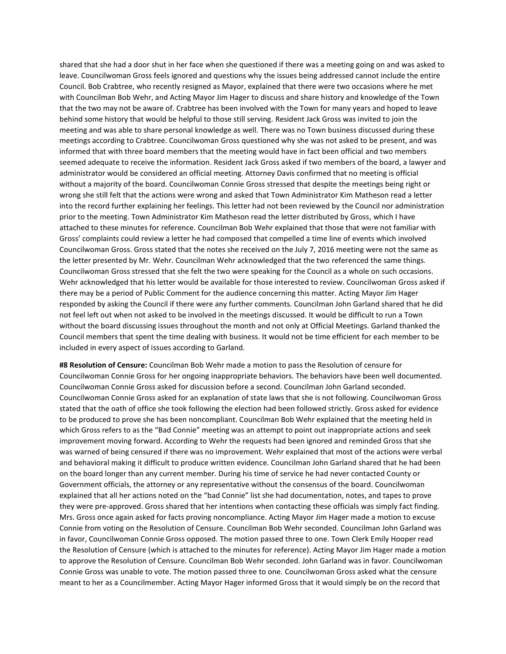shared that she had a door shut in her face when she questioned if there was a meeting going on and was asked to leave. Councilwoman Gross feels ignored and questions why the issues being addressed cannot include the entire Council. Bob Crabtree, who recently resigned as Mayor, explained that there were two occasions where he met with Councilman Bob Wehr, and Acting Mayor Jim Hager to discuss and share history and knowledge of the Town that the two may not be aware of. Crabtree has been involved with the Town for many years and hoped to leave behind some history that would be helpful to those still serving. Resident Jack Gross was invited to join the meeting and was able to share personal knowledge as well. There was no Town business discussed during these meetings according to Crabtree. Councilwoman Gross questioned why she was not asked to be present, and was informed that with three board members that the meeting would have in fact been official and two members seemed adequate to receive the information. Resident Jack Gross asked if two members of the board, a lawyer and administrator would be considered an official meeting. Attorney Davis confirmed that no meeting is official without a majority of the board. Councilwoman Connie Gross stressed that despite the meetings being right or wrong she still felt that the actions were wrong and asked that Town Administrator Kim Matheson read a letter into the record further explaining her feelings. This letter had not been reviewed by the Council nor administration prior to the meeting. Town Administrator Kim Matheson read the letter distributed by Gross, which I have attached to these minutes for reference. Councilman Bob Wehr explained that those that were not familiar with Gross' complaints could review a letter he had composed that compelled a time line of events which involved Councilwoman Gross. Gross stated that the notes she received on the July 7, 2016 meeting were not the same as the letter presented by Mr. Wehr. Councilman Wehr acknowledged that the two referenced the same things. Councilwoman Gross stressed that she felt the two were speaking for the Council as a whole on such occasions. Wehr acknowledged that his letter would be available for those interested to review. Councilwoman Gross asked if there may be a period of Public Comment for the audience concerning this matter. Acting Mayor Jim Hager responded by asking the Council if there were any further comments. Councilman John Garland shared that he did not feel left out when not asked to be involved in the meetings discussed. It would be difficult to run a Town without the board discussing issues throughout the month and not only at Official Meetings. Garland thanked the Council members that spent the time dealing with business. It would not be time efficient for each member to be included in every aspect of issues according to Garland.

**#8 Resolution of Censure:** Councilman Bob Wehr made a motion to pass the Resolution of censure for Councilwoman Connie Gross for her ongoing inappropriate behaviors. The behaviors have been well documented. Councilwoman Connie Gross asked for discussion before a second. Councilman John Garland seconded. Councilwoman Connie Gross asked for an explanation of state laws that she is not following. Councilwoman Gross stated that the oath of office she took following the election had been followed strictly. Gross asked for evidence to be produced to prove she has been noncompliant. Councilman Bob Wehr explained that the meeting held in which Gross refers to as the "Bad Connie" meeting was an attempt to point out inappropriate actions and seek improvement moving forward. According to Wehr the requests had been ignored and reminded Gross that she was warned of being censured if there was no improvement. Wehr explained that most of the actions were verbal and behavioral making it difficult to produce written evidence. Councilman John Garland shared that he had been on the board longer than any current member. During his time of service he had never contacted County or Government officials, the attorney or any representative without the consensus of the board. Councilwoman explained that all her actions noted on the "bad Connie" list she had documentation, notes, and tapes to prove they were pre-approved. Gross shared that her intentions when contacting these officials was simply fact finding. Mrs. Gross once again asked for facts proving noncompliance. Acting Mayor Jim Hager made a motion to excuse Connie from voting on the Resolution of Censure. Councilman Bob Wehr seconded. Councilman John Garland was in favor, Councilwoman Connie Gross opposed. The motion passed three to one. Town Clerk Emily Hooper read the Resolution of Censure (which is attached to the minutes for reference). Acting Mayor Jim Hager made a motion to approve the Resolution of Censure. Councilman Bob Wehr seconded. John Garland was in favor. Councilwoman Connie Gross was unable to vote. The motion passed three to one. Councilwoman Gross asked what the censure meant to her as a Councilmember. Acting Mayor Hager informed Gross that it would simply be on the record that